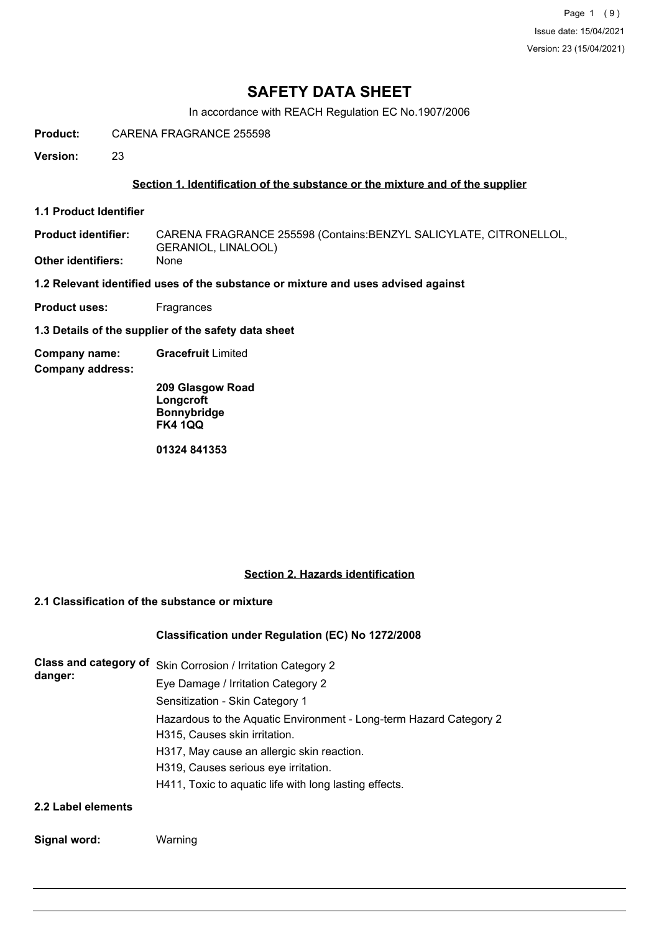# **SAFETY DATA SHEET**

In accordance with REACH Regulation EC No.1907/2006

**Product:** CARENA FRAGRANCE 255598

**Version:** 23

## **Section 1. Identification of the substance or the mixture and of the supplier**

**1.1 Product Identifier**

CARENA FRAGRANCE 255598 (Contains:BENZYL SALICYLATE, CITRONELLOL, GERANIOL, LINALOOL) **Product identifier: Other identifiers:** None

**1.2 Relevant identified uses of the substance or mixture and uses advised against**

**Product uses:** Fragrances

**1.3 Details of the supplier of the safety data sheet**

**Company name: Gracefruit** Limited

**Company address:**

**209 Glasgow Road Longcroft Bonnybridge FK4 1QQ**

**01324 841353**

#### **Section 2. Hazards identification**

# **2.1 Classification of the substance or mixture**

#### **Classification under Regulation (EC) No 1272/2008**

| <b>Class and category of</b><br>danger: | Skin Corrosion / Irritation Category 2                             |
|-----------------------------------------|--------------------------------------------------------------------|
|                                         | Eye Damage / Irritation Category 2                                 |
|                                         | Sensitization - Skin Category 1                                    |
|                                         | Hazardous to the Aquatic Environment - Long-term Hazard Category 2 |
|                                         | H315, Causes skin irritation.                                      |
|                                         | H317, May cause an allergic skin reaction.                         |
|                                         | H319, Causes serious eye irritation.                               |
|                                         | H411, Toxic to aquatic life with long lasting effects.             |
| 2.2 Label elements                      |                                                                    |

#### **Signal word:** Warning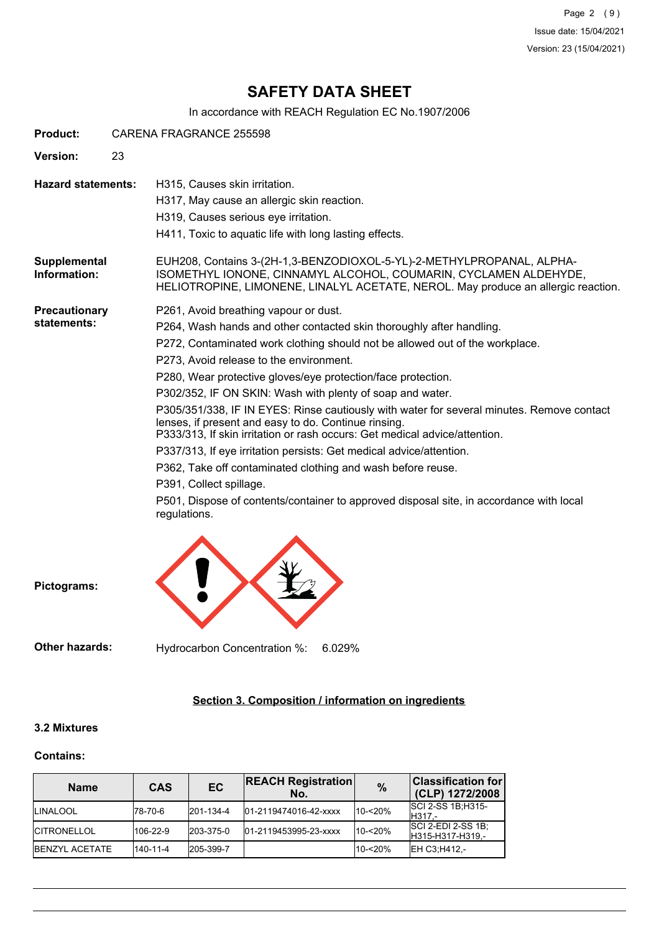Page 2 (9) Issue date: 15/04/2021 Version: 23 (15/04/2021)

# **SAFETY DATA SHEET**

In accordance with REACH Regulation EC No.1907/2006

| <b>Product:</b>              | CARENA FRAGRANCE 255598                                                                                                                                                                                                                                                                                                                                                                                                                                                                                                                                                                                                                                                                                                                                                                                                                                                              |  |
|------------------------------|--------------------------------------------------------------------------------------------------------------------------------------------------------------------------------------------------------------------------------------------------------------------------------------------------------------------------------------------------------------------------------------------------------------------------------------------------------------------------------------------------------------------------------------------------------------------------------------------------------------------------------------------------------------------------------------------------------------------------------------------------------------------------------------------------------------------------------------------------------------------------------------|--|
| <b>Version:</b>              | 23                                                                                                                                                                                                                                                                                                                                                                                                                                                                                                                                                                                                                                                                                                                                                                                                                                                                                   |  |
| <b>Hazard statements:</b>    | H315, Causes skin irritation.<br>H317, May cause an allergic skin reaction.<br>H319, Causes serious eye irritation.<br>H411, Toxic to aquatic life with long lasting effects.                                                                                                                                                                                                                                                                                                                                                                                                                                                                                                                                                                                                                                                                                                        |  |
| Supplemental<br>Information: | EUH208, Contains 3-(2H-1,3-BENZODIOXOL-5-YL)-2-METHYLPROPANAL, ALPHA-<br>ISOMETHYL IONONE, CINNAMYL ALCOHOL, COUMARIN, CYCLAMEN ALDEHYDE,<br>HELIOTROPINE, LIMONENE, LINALYL ACETATE, NEROL. May produce an allergic reaction.                                                                                                                                                                                                                                                                                                                                                                                                                                                                                                                                                                                                                                                       |  |
| Precautionary<br>statements: | P261, Avoid breathing vapour or dust.<br>P264, Wash hands and other contacted skin thoroughly after handling.<br>P272, Contaminated work clothing should not be allowed out of the workplace.<br>P273, Avoid release to the environment.<br>P280, Wear protective gloves/eye protection/face protection.<br>P302/352, IF ON SKIN: Wash with plenty of soap and water.<br>P305/351/338, IF IN EYES: Rinse cautiously with water for several minutes. Remove contact<br>lenses, if present and easy to do. Continue rinsing.<br>P333/313, If skin irritation or rash occurs: Get medical advice/attention.<br>P337/313, If eye irritation persists: Get medical advice/attention.<br>P362, Take off contaminated clothing and wash before reuse.<br>P391, Collect spillage.<br>P501, Dispose of contents/container to approved disposal site, in accordance with local<br>regulations. |  |

**Pictograms:**

**Other hazards:** Hydrocarbon Concentration %: 6.029%

# **Section 3. Composition / information on ingredients**

#### **3.2 Mixtures**

#### **Contains:**

| <b>Name</b>            | <b>CAS</b> | EC        | <b>REACH Registration</b><br>No. | $\frac{0}{0}$ | <b>Classification for</b><br>(CLP) 1272/2008  |
|------------------------|------------|-----------|----------------------------------|---------------|-----------------------------------------------|
| <b>ILINALOOL</b>       | l78-70-6   | 201-134-4 | 01-2119474016-42-xxxx            | 10-<20%       | <b>SCI 2-SS 1B:H315-</b><br>H317.-            |
| <b>ICITRONELLOL</b>    | 106-22-9   | 203-375-0 | 01-2119453995-23-xxxx            | 10-<20%       | <b>SCI 2-EDI 2-SS 1B:</b><br>H315-H317-H319.- |
| <b>IBENZYL ACETATE</b> | 140-11-4   | 205-399-7 |                                  | $10 - 20%$    | EH C3:H412.-                                  |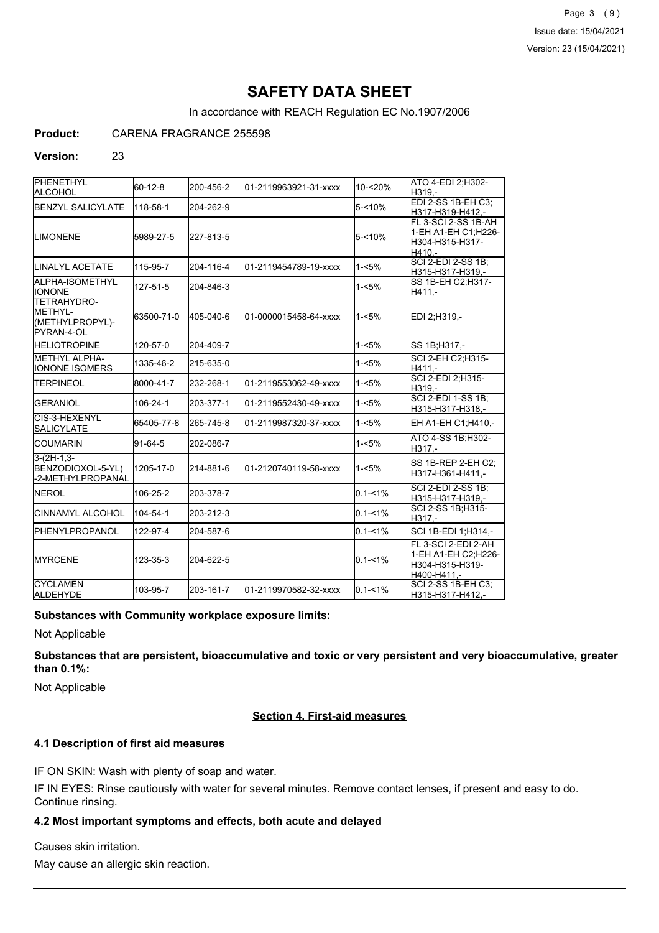Page 3 (9) Issue date: 15/04/2021 Version: 23 (15/04/2021)

# **SAFETY DATA SHEET**

In accordance with REACH Regulation EC No.1907/2006

## **Product:** CARENA FRAGRANCE 255598

#### **Version:** 23

| <b>PHENETHYL</b><br>ALCOHOL                                           | $60 - 12 - 8$ | 200-456-2 | 01-2119963921-31-xxxx | 10-<20%     | ATO 4-EDI 2:H302-<br>H319.-                                                  |
|-----------------------------------------------------------------------|---------------|-----------|-----------------------|-------------|------------------------------------------------------------------------------|
| BENZYL SALICYLATE                                                     | 118-58-1      | 204-262-9 |                       | $5 - 10%$   | EDI 2-SS 1B-EH C3;<br>H317-H319-H412,-                                       |
| <b>LIMONENE</b>                                                       | 5989-27-5     | 227-813-5 |                       | $5 - 10%$   | FL 3-SCI 2-SS 1B-AH<br>1-EH A1-EH C1;H226-<br>H304-H315-H317-<br>H410.-      |
| <b>ILINALYL ACETATE</b>                                               | 115-95-7      | 204-116-4 | 01-2119454789-19-xxxx | $1 - 5%$    | <b>SCI 2-EDI 2-SS 1B;</b><br>H315-H317-H319,-                                |
| ALPHA-ISOMETHYL<br><b>I</b> IONONE                                    | 127-51-5      | 204-846-3 |                       | $1 - 5%$    | SS 1B-EH C2; H317-<br>H411.-                                                 |
| <b>TETRAHYDRO-</b><br><b>METHYL-</b><br>(METHYLPROPYL)-<br>PYRAN-4-OL | 63500-71-0    | 405-040-6 | 01-0000015458-64-xxxx | $1 - 5%$    | EDI 2:H319.-                                                                 |
| <b>HELIOTROPINE</b>                                                   | 120-57-0      | 204-409-7 |                       | 1-<5%       | SS 1B:H317.-                                                                 |
| METHYL ALPHA-<br><b>IONONE ISOMERS</b>                                | 1335-46-2     | 215-635-0 |                       | $1 - 5%$    | SCI 2-EH C2;H315-<br>H411.-                                                  |
| <b>ITERPINEOL</b>                                                     | 8000-41-7     | 232-268-1 | 01-2119553062-49-xxxx | $1 - 5%$    | SCI 2-EDI 2, H315-<br>H319.-                                                 |
| <b>GERANIOL</b>                                                       | 106-24-1      | 203-377-1 | 01-2119552430-49-xxxx | $1 - 5%$    | <b>SCI 2-EDI 1-SS 1B:</b><br>H315-H317-H318,-                                |
| CIS-3-HEXENYL<br><b>SALICYLATE</b>                                    | 65405-77-8    | 265-745-8 | 01-2119987320-37-xxxx | $1 - 5%$    | EH A1-EH C1; H410,-                                                          |
| ICOUMARIN                                                             | $91 - 64 - 5$ | 202-086-7 |                       | $1 - 5%$    | ATO 4-SS 1B; H302-<br>H317,-                                                 |
| $3-(2H-1,3-$<br>BENZODIOXOL-5-YL)<br>-2-METHYLPROPANAL                | 1205-17-0     | 214-881-6 | 01-2120740119-58-xxxx | $1 - 5%$    | SS 1B-REP 2-EH C2;<br>H317-H361-H411,-                                       |
| <b>INEROL</b>                                                         | 106-25-2      | 203-378-7 |                       | $0.1 - 1\%$ | SCI 2-EDI 2-SS 1B;<br>H315-H317-H319,-                                       |
| <b>CINNAMYL ALCOHOL</b>                                               | 104-54-1      | 203-212-3 |                       | $0.1 - 1\%$ | SCI 2-SS 1B; H315-<br>H317.-                                                 |
| <b>I</b> PHENYLPROPANOL                                               | 122-97-4      | 204-587-6 |                       | $0.1 - 1\%$ | SCI 1B-EDI 1;H314,-                                                          |
| <b>IMYRCENE</b>                                                       | 123-35-3      | 204-622-5 |                       | $0.1 - 1\%$ | FL 3-SCI 2-EDI 2-AH<br>1-EH A1-EH C2;H226-<br>H304-H315-H319-<br>H400-H411.- |
| <b>CYCLAMEN</b><br><b>ALDEHYDE</b>                                    | 103-95-7      | 203-161-7 | 01-2119970582-32-xxxx | $0.1 - 1\%$ | SCI 2-SS 1B-EH C3;<br>H315-H317-H412,-                                       |

#### **Substances with Community workplace exposure limits:**

Not Applicable

**Substances that are persistent, bioaccumulative and toxic or very persistent and very bioaccumulative, greater than 0.1%:**

Not Applicable

#### **Section 4. First-aid measures**

#### **4.1 Description of first aid measures**

IF ON SKIN: Wash with plenty of soap and water.

IF IN EYES: Rinse cautiously with water for several minutes. Remove contact lenses, if present and easy to do. Continue rinsing.

#### **4.2 Most important symptoms and effects, both acute and delayed**

Causes skin irritation.

May cause an allergic skin reaction.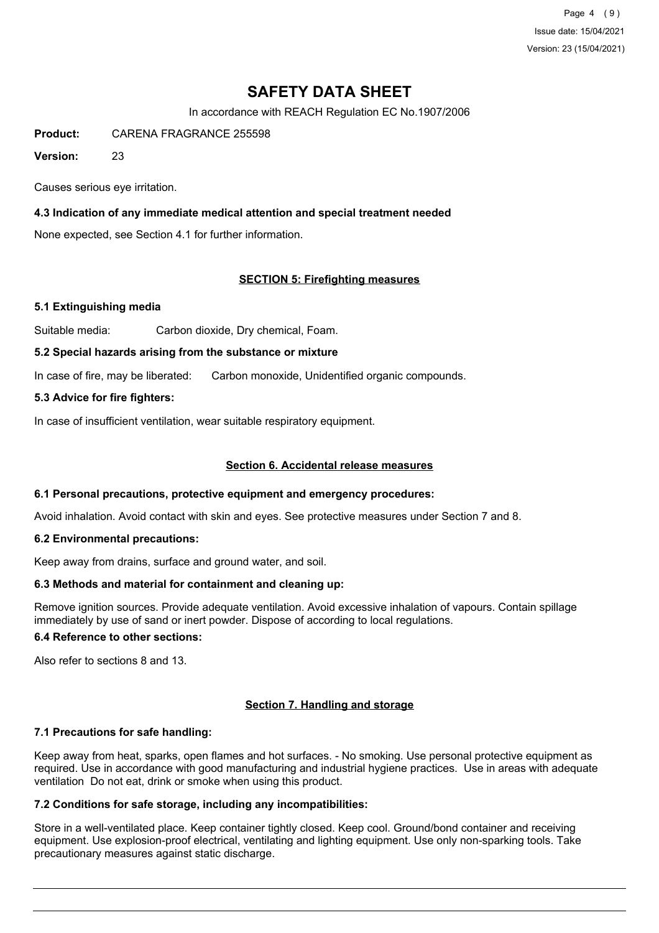Page 4 (9) Issue date: 15/04/2021 Version: 23 (15/04/2021)

# **SAFETY DATA SHEET**

In accordance with REACH Regulation EC No.1907/2006

**Product:** CARENA FRAGRANCE 255598

**Version:** 23

Causes serious eye irritation.

## **4.3 Indication of any immediate medical attention and special treatment needed**

None expected, see Section 4.1 for further information.

## **SECTION 5: Firefighting measures**

#### **5.1 Extinguishing media**

Suitable media: Carbon dioxide, Dry chemical, Foam.

#### **5.2 Special hazards arising from the substance or mixture**

In case of fire, may be liberated: Carbon monoxide, Unidentified organic compounds.

## **5.3 Advice for fire fighters:**

In case of insufficient ventilation, wear suitable respiratory equipment.

## **Section 6. Accidental release measures**

#### **6.1 Personal precautions, protective equipment and emergency procedures:**

Avoid inhalation. Avoid contact with skin and eyes. See protective measures under Section 7 and 8.

#### **6.2 Environmental precautions:**

Keep away from drains, surface and ground water, and soil.

#### **6.3 Methods and material for containment and cleaning up:**

Remove ignition sources. Provide adequate ventilation. Avoid excessive inhalation of vapours. Contain spillage immediately by use of sand or inert powder. Dispose of according to local regulations.

## **6.4 Reference to other sections:**

Also refer to sections 8 and 13.

#### **Section 7. Handling and storage**

#### **7.1 Precautions for safe handling:**

Keep away from heat, sparks, open flames and hot surfaces. - No smoking. Use personal protective equipment as required. Use in accordance with good manufacturing and industrial hygiene practices. Use in areas with adequate ventilation Do not eat, drink or smoke when using this product.

#### **7.2 Conditions for safe storage, including any incompatibilities:**

Store in a well-ventilated place. Keep container tightly closed. Keep cool. Ground/bond container and receiving equipment. Use explosion-proof electrical, ventilating and lighting equipment. Use only non-sparking tools. Take precautionary measures against static discharge.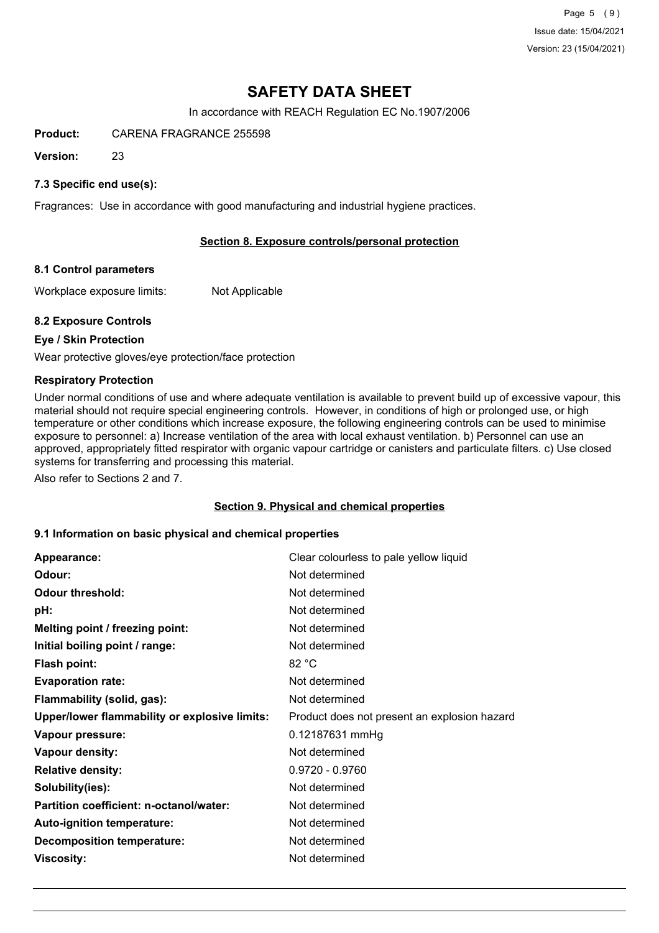Page 5 (9) Issue date: 15/04/2021 Version: 23 (15/04/2021)

# **SAFETY DATA SHEET**

In accordance with REACH Regulation EC No.1907/2006

**Product:** CARENA FRAGRANCE 255598

**Version:** 23

## **7.3 Specific end use(s):**

Fragrances: Use in accordance with good manufacturing and industrial hygiene practices.

## **Section 8. Exposure controls/personal protection**

#### **8.1 Control parameters**

Workplace exposure limits: Not Applicable

#### **8.2 Exposure Controls**

#### **Eye / Skin Protection**

Wear protective gloves/eye protection/face protection

#### **Respiratory Protection**

Under normal conditions of use and where adequate ventilation is available to prevent build up of excessive vapour, this material should not require special engineering controls. However, in conditions of high or prolonged use, or high temperature or other conditions which increase exposure, the following engineering controls can be used to minimise exposure to personnel: a) Increase ventilation of the area with local exhaust ventilation. b) Personnel can use an approved, appropriately fitted respirator with organic vapour cartridge or canisters and particulate filters. c) Use closed systems for transferring and processing this material.

Also refer to Sections 2 and 7.

#### **Section 9. Physical and chemical properties**

#### **9.1 Information on basic physical and chemical properties**

| Appearance:                                   | Clear colourless to pale yellow liquid       |
|-----------------------------------------------|----------------------------------------------|
| Odour:                                        | Not determined                               |
| <b>Odour threshold:</b>                       | Not determined                               |
| pH:                                           | Not determined                               |
| Melting point / freezing point:               | Not determined                               |
| Initial boiling point / range:                | Not determined                               |
| <b>Flash point:</b>                           | 82 °C                                        |
| <b>Evaporation rate:</b>                      | Not determined                               |
| Flammability (solid, gas):                    | Not determined                               |
| Upper/lower flammability or explosive limits: | Product does not present an explosion hazard |
| Vapour pressure:                              | 0.12187631 mmHg                              |
| Vapour density:                               | Not determined                               |
| <b>Relative density:</b>                      | $0.9720 - 0.9760$                            |
| Solubility(ies):                              | Not determined                               |
| Partition coefficient: n-octanol/water:       | Not determined                               |
| Auto-ignition temperature:                    | Not determined                               |
| <b>Decomposition temperature:</b>             | Not determined                               |
| <b>Viscosity:</b>                             | Not determined                               |
|                                               |                                              |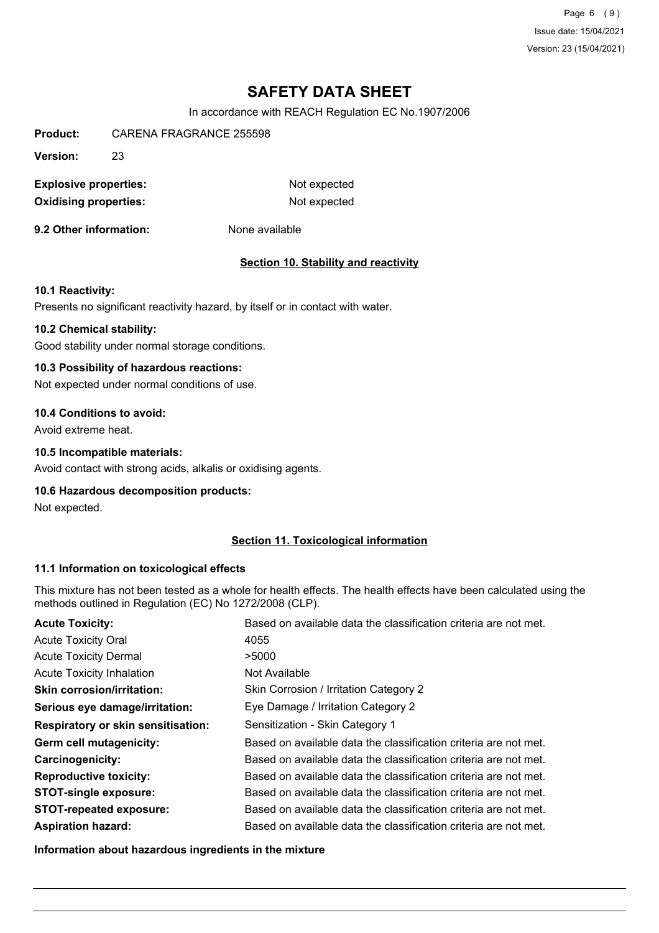Page 6 (9) Issue date: 15/04/2021 Version: 23 (15/04/2021)

# **SAFETY DATA SHEET**

In accordance with REACH Regulation EC No.1907/2006

**Product:** CARENA FRAGRANCE 255598

**Version:** 23

**Explosive properties:** Not expected **Oxidising properties:** Not expected

**9.2 Other information:** None available

#### **Section 10. Stability and reactivity**

#### **10.1 Reactivity:**

Presents no significant reactivity hazard, by itself or in contact with water.

#### **10.2 Chemical stability:**

Good stability under normal storage conditions.

#### **10.3 Possibility of hazardous reactions:**

Not expected under normal conditions of use.

#### **10.4 Conditions to avoid:**

Avoid extreme heat.

#### **10.5 Incompatible materials:**

Avoid contact with strong acids, alkalis or oxidising agents.

#### **10.6 Hazardous decomposition products:**

Not expected.

#### **Section 11. Toxicological information**

#### **11.1 Information on toxicological effects**

This mixture has not been tested as a whole for health effects. The health effects have been calculated using the methods outlined in Regulation (EC) No 1272/2008 (CLP).

| <b>Acute Toxicity:</b>                    | Based on available data the classification criteria are not met. |
|-------------------------------------------|------------------------------------------------------------------|
| <b>Acute Toxicity Oral</b>                | 4055                                                             |
| <b>Acute Toxicity Dermal</b>              | >5000                                                            |
| <b>Acute Toxicity Inhalation</b>          | Not Available                                                    |
| <b>Skin corrosion/irritation:</b>         | Skin Corrosion / Irritation Category 2                           |
| Serious eye damage/irritation:            | Eye Damage / Irritation Category 2                               |
| <b>Respiratory or skin sensitisation:</b> | Sensitization - Skin Category 1                                  |
| Germ cell mutagenicity:                   | Based on available data the classification criteria are not met. |
| <b>Carcinogenicity:</b>                   | Based on available data the classification criteria are not met. |
| <b>Reproductive toxicity:</b>             | Based on available data the classification criteria are not met. |
| <b>STOT-single exposure:</b>              | Based on available data the classification criteria are not met. |
| <b>STOT-repeated exposure:</b>            | Based on available data the classification criteria are not met. |
| <b>Aspiration hazard:</b>                 | Based on available data the classification criteria are not met. |

**Information about hazardous ingredients in the mixture**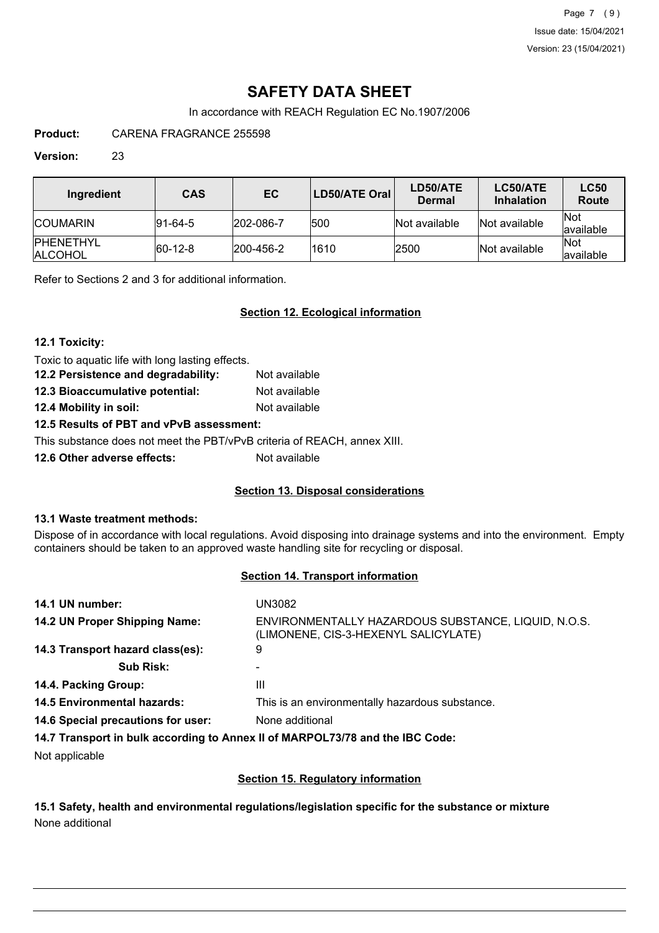Page 7 (9) Issue date: 15/04/2021 Version: 23 (15/04/2021)

# **SAFETY DATA SHEET**

In accordance with REACH Regulation EC No.1907/2006

**Product:** CARENA FRAGRANCE 255598

### **Version:** 23

| Ingredient                          | <b>CAS</b>      | EC.               | LD50/ATE Oral | LD50/ATE<br><b>Dermal</b> | LC50/ATE<br><b>Inhalation</b> | <b>LC50</b><br>Route      |
|-------------------------------------|-----------------|-------------------|---------------|---------------------------|-------------------------------|---------------------------|
| <b>ICOUMARIN</b>                    | $ 91 - 64 - 5 $ | 202-086-7         | 500           | Not available             | Not available                 | <b>INot</b><br>lavailable |
| <b>IPHENETHYL</b><br><b>ALCOHOL</b> | $ 60-12-8 $     | $ 200 - 456 - 2 $ | 1610          | 2500                      | Not available                 | <b>Not</b><br>lavailable  |

Refer to Sections 2 and 3 for additional information.

## **Section 12. Ecological information**

#### **12.1 Toxicity:**

Toxic to aquatic life with long lasting effects.

| 12.2 Persistence and degradability: | Not available |
|-------------------------------------|---------------|
| 12.3 Bioaccumulative potential:     | Not available |
| 12.4 Mobility in soil:              | Not available |

# **12.5 Results of PBT and vPvB assessment:**

This substance does not meet the PBT/vPvB criteria of REACH, annex XIII.

**12.6 Other adverse effects:** Not available

# **Section 13. Disposal considerations**

#### **13.1 Waste treatment methods:**

Dispose of in accordance with local regulations. Avoid disposing into drainage systems and into the environment. Empty containers should be taken to an approved waste handling site for recycling or disposal.

#### **Section 14. Transport information**

| 14.1 UN number:                    | UN3082                                                                                      |
|------------------------------------|---------------------------------------------------------------------------------------------|
| 14.2 UN Proper Shipping Name:      | ENVIRONMENTALLY HAZARDOUS SUBSTANCE, LIQUID, N.O.S.<br>(LIMONENE, CIS-3-HEXENYL SALICYLATE) |
| 14.3 Transport hazard class(es):   | 9                                                                                           |
| <b>Sub Risk:</b>                   |                                                                                             |
| 14.4. Packing Group:               | Ш                                                                                           |
| <b>14.5 Environmental hazards:</b> | This is an environmentally hazardous substance.                                             |
| 14.6 Special precautions for user: | None additional                                                                             |
|                                    | 14.7 Transport in bulk according to Annex II of MARPOL73/78 and the IBC Code:               |
| .                                  |                                                                                             |

Not applicable

#### **Section 15. Regulatory information**

**15.1 Safety, health and environmental regulations/legislation specific for the substance or mixture** None additional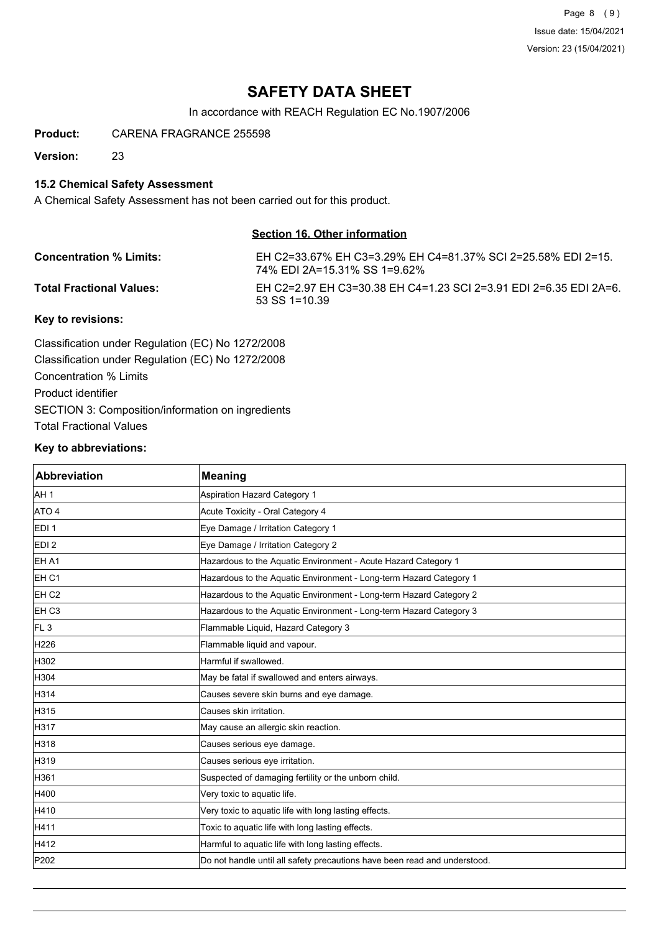Page 8 (9) Issue date: 15/04/2021 Version: 23 (15/04/2021)

# **SAFETY DATA SHEET**

In accordance with REACH Regulation EC No.1907/2006

**Product:** CARENA FRAGRANCE 255598

**Version:** 23

## **15.2 Chemical Safety Assessment**

A Chemical Safety Assessment has not been carried out for this product.

### **Section 16. Other information**

| <b>Concentration % Limits:</b> | EH C2=33.67% EH C3=3.29% EH C4=81.37% SCI 2=25.58% EDI 2=15.<br>74% EDI 2A=15.31% SS 1=9.62% |
|--------------------------------|----------------------------------------------------------------------------------------------|
| Total Fractional Values:       | EH C2=2.97 EH C3=30.38 EH C4=1.23 SCI 2=3.91 EDI 2=6.35 EDI 2A=6.<br>$53$ SS 1=10.39         |
|                                |                                                                                              |

#### **Key to revisions:**

Classification under Regulation (EC) No 1272/2008 Classification under Regulation (EC) No 1272/2008 Concentration % Limits Product identifier SECTION 3: Composition/information on ingredients Total Fractional Values

## **Key to abbreviations:**

| <b>Abbreviation</b> | Meaning                                                                   |
|---------------------|---------------------------------------------------------------------------|
| AH <sub>1</sub>     | Aspiration Hazard Category 1                                              |
| ATO 4               | Acute Toxicity - Oral Category 4                                          |
| EDI <sub>1</sub>    | Eye Damage / Irritation Category 1                                        |
| EDI <sub>2</sub>    | Eye Damage / Irritation Category 2                                        |
| EH A1               | Hazardous to the Aquatic Environment - Acute Hazard Category 1            |
| EH <sub>C1</sub>    | Hazardous to the Aquatic Environment - Long-term Hazard Category 1        |
| EH <sub>C2</sub>    | Hazardous to the Aquatic Environment - Long-term Hazard Category 2        |
| EH <sub>C3</sub>    | Hazardous to the Aquatic Environment - Long-term Hazard Category 3        |
| FL <sub>3</sub>     | Flammable Liquid, Hazard Category 3                                       |
| H <sub>226</sub>    | Flammable liquid and vapour.                                              |
| H302                | Harmful if swallowed.                                                     |
| H304                | May be fatal if swallowed and enters airways.                             |
| H314                | Causes severe skin burns and eye damage.                                  |
| H315                | Causes skin irritation.                                                   |
| H317                | May cause an allergic skin reaction.                                      |
| H318                | Causes serious eye damage.                                                |
| H319                | Causes serious eye irritation.                                            |
| H361                | Suspected of damaging fertility or the unborn child.                      |
| H400                | Very toxic to aquatic life.                                               |
| H410                | Very toxic to aquatic life with long lasting effects.                     |
| H411                | Toxic to aquatic life with long lasting effects.                          |
| H412                | Harmful to aquatic life with long lasting effects.                        |
| P202                | Do not handle until all safety precautions have been read and understood. |